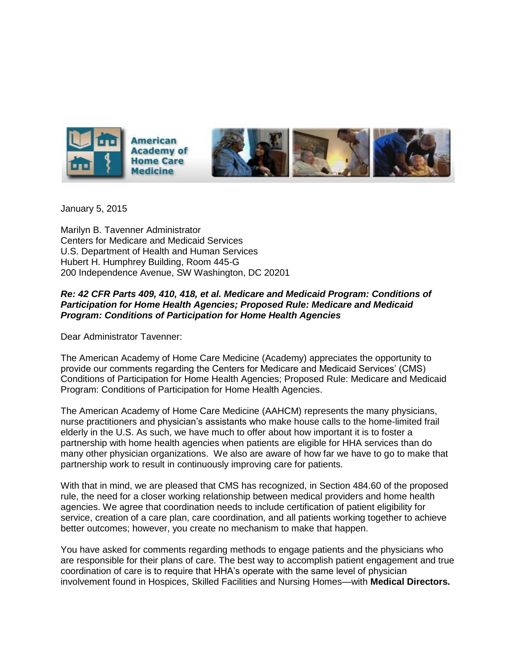

January 5, 2015

Marilyn B. Tavenner Administrator Centers for Medicare and Medicaid Services U.S. Department of Health and Human Services Hubert H. Humphrey Building, Room 445-G 200 Independence Avenue, SW Washington, DC 20201

## *Re: 42 CFR Parts 409, 410, 418, et al. Medicare and Medicaid Program: Conditions of Participation for Home Health Agencies; Proposed Rule: Medicare and Medicaid Program: Conditions of Participation for Home Health Agencies*

Dear Administrator Tavenner:

The American Academy of Home Care Medicine (Academy) appreciates the opportunity to provide our comments regarding the Centers for Medicare and Medicaid Services' (CMS) Conditions of Participation for Home Health Agencies; Proposed Rule: Medicare and Medicaid Program: Conditions of Participation for Home Health Agencies.

The American Academy of Home Care Medicine (AAHCM) represents the many physicians, nurse practitioners and physician's assistants who make house calls to the home-limited frail elderly in the U.S. As such, we have much to offer about how important it is to foster a partnership with home health agencies when patients are eligible for HHA services than do many other physician organizations. We also are aware of how far we have to go to make that partnership work to result in continuously improving care for patients.

With that in mind, we are pleased that CMS has recognized, in Section 484.60 of the proposed rule, the need for a closer working relationship between medical providers and home health agencies. We agree that coordination needs to include certification of patient eligibility for service, creation of a care plan, care coordination, and all patients working together to achieve better outcomes; however, you create no mechanism to make that happen.

You have asked for comments regarding methods to engage patients and the physicians who are responsible for their plans of care. The best way to accomplish patient engagement and true coordination of care is to require that HHA's operate with the same level of physician involvement found in Hospices, Skilled Facilities and Nursing Homes—with **Medical Directors.**